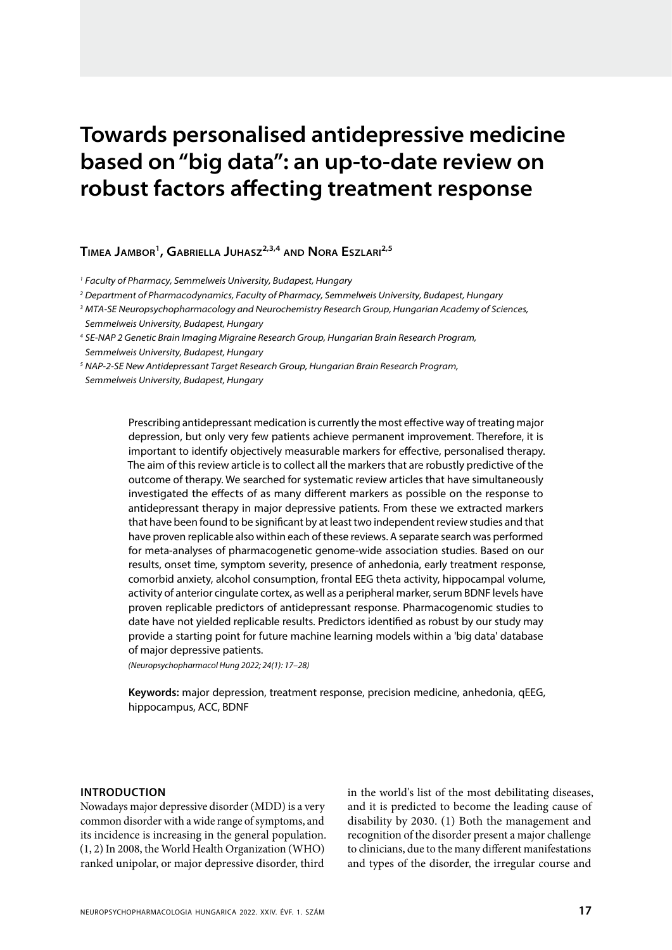# **Towards personalised antidepressive medicine based on "big data": an up-to-date review on robust factors affecting treatment response**

**TIMEA JAMBOR1, GABRIELLA JUHASZ2,3,4 AND NORA ESZLARI2,5**

1 Faculty of Pharmacy, Semmelweis University, Budapest, Hungary

2 Department of Pharmacodynamics, Faculty of Pharmacy, Semmelweis University, Budapest, Hungary

3 MTA-SE Neuropsychopharmacology and Neurochemistry Research Group, Hungarian Academy of Sciences, Semmelweis University, Budapest, Hungary

4 SE-NAP 2 Genetic Brain Imaging Migraine Research Group, Hungarian Brain Research Program, Semmelweis University, Budapest, Hungary

<sup>5</sup> NAP-2-SE New Antidepressant Target Research Group, Hungarian Brain Research Program, Semmelweis University, Budapest, Hungary

> Prescribing antidepressant medication is currently the most effective way of treating major depression, but only very few patients achieve permanent improvement. Therefore, it is important to identify objectively measurable markers for effective, personalised therapy. The aim of this review article is to collect all the markers that are robustly predictive of the outcome of therapy. We searched for systematic review articles that have simultaneously investigated the effects of as many different markers as possible on the response to antidepressant therapy in major depressive patients. From these we extracted markers that have been found to be significant by at least two independent review studies and that have proven replicable also within each of these reviews. A separate search was performed for meta-analyses of pharmacogenetic genome-wide association studies. Based on our results, onset time, symptom severity, presence of anhedonia, early treatment response, comorbid anxiety, alcohol consumption, frontal EEG theta activity, hippocampal volume, activity of anterior cingulate cortex, as well as a peripheral marker, serum BDNF levels have proven replicable predictors of antidepressant response. Pharmacogenomic studies to date have not yielded replicable results. Predictors identified as robust by our study may provide a starting point for future machine learning models within a 'big data' database of major depressive patients.

(Neuropsychopharmacol Hung 2022; 24(1): 17–28)

**Keywords:** major depression, treatment response, precision medicine, anhedonia, qEEG, hippocampus, ACC, BDNF

## **INTRODUCTION**

Nowadays major depressive disorder (MDD) is a very common disorder with a wide range of symptoms, and its incidence is increasing in the general population. (1, 2) In 2008, the World Health Organization (WHO) ranked unipolar, or major depressive disorder, third

in the world's list of the most debilitating diseases, and it is predicted to become the leading cause of disability by 2030. (1) Both the management and recognition of the disorder present a major challenge to clinicians, due to the many different manifestations and types of the disorder, the irregular course and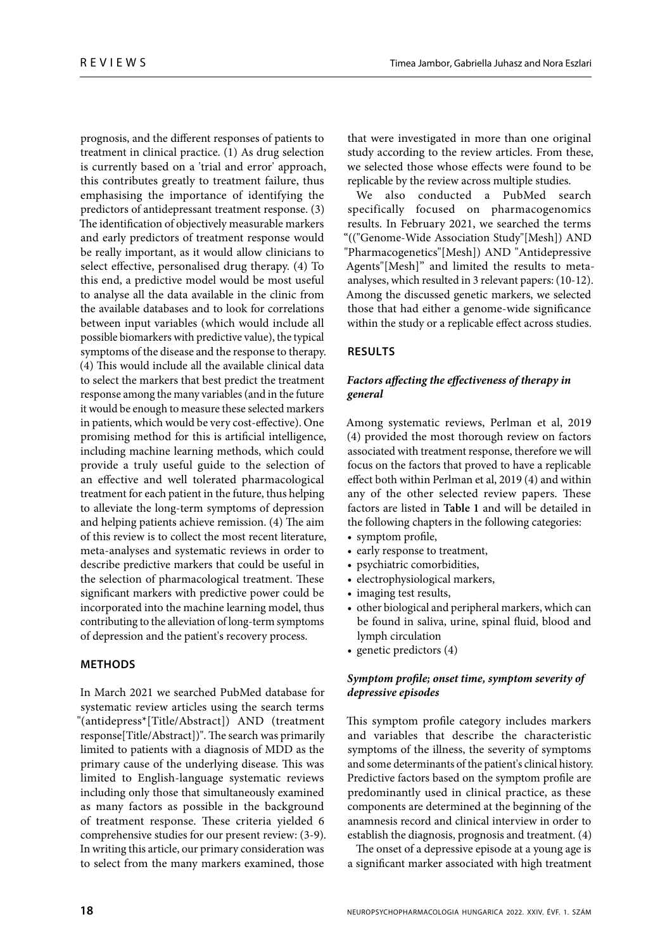prognosis, and the different responses of patients to treatment in clinical practice. (1) As drug selection is currently based on a 'trial and error' approach, this contributes greatly to treatment failure, thus emphasising the importance of identifying the predictors of antidepressant treatment response. (3) The identification of objectively measurable markers and early predictors of treatment response would be really important, as it would allow clinicians to select effective, personalised drug therapy. (4) To this end, a predictive model would be most useful to analyse all the data available in the clinic from the available databases and to look for correlations between input variables (which would include all possible biomarkers with predictive value), the typical symptoms of the disease and the response to therapy. (4) This would include all the available clinical data to select the markers that best predict the treatment response among the many variables (and in the future it would be enough to measure these selected markers in patients, which would be very cost-effective). One promising method for this is artificial intelligence, including machine learning methods, which could provide a truly useful guide to the selection of an effective and well tolerated pharmacological treatment for each patient in the future, thus helping to alleviate the long-term symptoms of depression and helping patients achieve remission. (4) The aim of this review is to collect the most recent literature, meta-analyses and systematic reviews in order to describe predictive markers that could be useful in the selection of pharmacological treatment. These significant markers with predictive power could be incorporated into the machine learning model, thus contributing to the alleviation of long-term symptoms of depression and the patient's recovery process.

# **METHODS**

In March 2021 we searched PubMed database for systematic review articles using the search terms "(antidepress\*[Title/Abstract]) AND (treatment response[Title/Abstract])". The search was primarily limited to patients with a diagnosis of MDD as the primary cause of the underlying disease. This was limited to English-language systematic reviews including only those that simultaneously examined as many factors as possible in the background of treatment response. These criteria yielded 6 comprehensive studies for our present review: (3-9). In writing this article, our primary consideration was to select from the many markers examined, those

that were investigated in more than one original study according to the review articles. From these, we selected those whose effects were found to be replicable by the review across multiple studies.

We also conducted a PubMed search specifically focused on pharmacogenomics results. In February 2021, we searched the terms "(("Genome-Wide Association Study"[Mesh]) AND "Pharmacogenetics"[Mesh]) AND "Antidepressive Agents"[Mesh]" and limited the results to metaanalyses, which resulted in 3 relevant papers: (10-12). Among the discussed genetic markers, we selected those that had either a genome-wide significance within the study or a replicable effect across studies.

# **RESULTS**

# Factors affecting the effectiveness of therapy in **general**

Among systematic reviews, Perlman et al, 2019 (4) provided the most thorough review on factors associated with treatment response, therefore we will focus on the factors that proved to have a replicable effect both within Perlman et al, 2019 (4) and within any of the other selected review papers. These factors are listed in **Table 1** and will be detailed in the following chapters in the following categories:

- symptom profile,
- early response to treatment,
- psychiatric comorbidities,
- electrophysiological markers,
- imaging test results,
- other biological and peripheral markers, which can be found in saliva, urine, spinal fluid, blood and lymph circulation
- genetic predictors (4)

# Symptom profile; onset time, symptom severity of **depressive episodes**

This symptom profile category includes markers and variables that describe the characteristic symptoms of the illness, the severity of symptoms and some determinants of the patient's clinical history. Predictive factors based on the symptom profile are predominantly used in clinical practice, as these components are determined at the beginning of the anamnesis record and clinical interview in order to establish the diagnosis, prognosis and treatment. (4)

The onset of a depressive episode at a young age is a significant marker associated with high treatment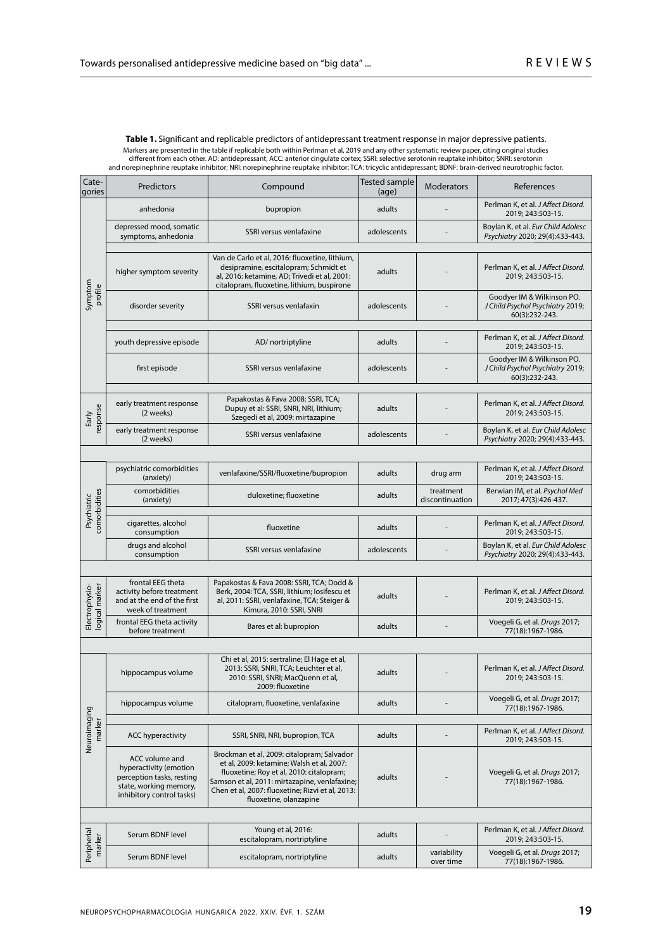Table 1. Significant and replicable predictors of antidepressant treatment response in major depressive patients. Markers are presented in the table if replicable both within Perlman et al, 2019 and any other systematic review paper, citing original studies<br>different from each other. AD: antidepressant; ACC: anterior cingulate cortex;

| Cate-<br>gories                  | Predictors                                                                                                                   | Compound                                                                                                                                                                                                                                                           | <b>Tested sample</b><br><b>Moderators</b><br>(age) |                                                    | References                                                                       |  |  |  |  |
|----------------------------------|------------------------------------------------------------------------------------------------------------------------------|--------------------------------------------------------------------------------------------------------------------------------------------------------------------------------------------------------------------------------------------------------------------|----------------------------------------------------|----------------------------------------------------|----------------------------------------------------------------------------------|--|--|--|--|
| Symptom<br>profile               | anhedonia                                                                                                                    | bupropion                                                                                                                                                                                                                                                          | adults                                             |                                                    | Perlman K, et al. J Affect Disord.<br>2019; 243:503-15.                          |  |  |  |  |
|                                  | depressed mood, somatic<br>symptoms, anhedonia                                                                               | SSRI versus venlafaxine                                                                                                                                                                                                                                            | adolescents                                        |                                                    | Boylan K, et al. Eur Child Adolesc<br>Psychiatry 2020; 29(4):433-443.            |  |  |  |  |
|                                  | higher symptom severity                                                                                                      | Van de Carlo et al, 2016: fluoxetine, lithium,<br>desipramine, escitalopram; Schmidt et<br>al, 2016: ketamine, AD; Trivedi et al, 2001:<br>citalopram, fluoxetine, lithium, buspirone                                                                              | adults                                             |                                                    | Perlman K, et al. J Affect Disord.<br>2019; 243:503-15.                          |  |  |  |  |
|                                  | disorder severity                                                                                                            | SSRI versus venlafaxin                                                                                                                                                                                                                                             | adolescents                                        |                                                    | Goodyer IM & Wilkinson PO.<br>J Child Psychol Psychiatry 2019;<br>60(3):232-243. |  |  |  |  |
|                                  | youth depressive episode                                                                                                     | AD/ nortriptyline                                                                                                                                                                                                                                                  | adults                                             |                                                    | Perlman K, et al. J Affect Disord.<br>2019; 243:503-15.                          |  |  |  |  |
|                                  | first episode                                                                                                                | SSRI versus venlafaxine                                                                                                                                                                                                                                            | adolescents                                        |                                                    | Goodyer IM & Wilkinson PO.<br>J Child Psychol Psychiatry 2019;<br>60(3):232-243. |  |  |  |  |
| response<br>Early                | early treatment response<br>(2 weeks)                                                                                        | Papakostas & Fava 2008: SSRI, TCA;<br>Dupuy et al: SSRI, SNRI, NRI, lithium;<br>Szegedi et al, 2009: mirtazapine                                                                                                                                                   | adults                                             |                                                    | Perlman K, et al. J Affect Disord.<br>2019; 243:503-15.                          |  |  |  |  |
|                                  | early treatment response<br>(2 weeks)                                                                                        | SSRI versus venlafaxine                                                                                                                                                                                                                                            | adolescents                                        |                                                    | Boylan K, et al. Eur Child Adolesc<br>Psychiatry 2020; 29(4):433-443.            |  |  |  |  |
|                                  |                                                                                                                              |                                                                                                                                                                                                                                                                    |                                                    |                                                    |                                                                                  |  |  |  |  |
| comorbidities<br>Psychiatric     | psychiatric comorbidities<br>(anxiety)                                                                                       | venlafaxine/SSRI/fluoxetine/bupropion                                                                                                                                                                                                                              | adults                                             | drug arm                                           | Perlman K, et al. J Affect Disord.<br>2019; 243:503-15.                          |  |  |  |  |
|                                  | comorbidities<br>(anxiety)                                                                                                   | duloxetine; fluoxetine                                                                                                                                                                                                                                             | adults                                             | treatment<br>discontinuation                       | Berwian IM, et al. Psychol Med<br>2017; 47(3):426-437.                           |  |  |  |  |
|                                  |                                                                                                                              |                                                                                                                                                                                                                                                                    |                                                    |                                                    | Perlman K, et al. J Affect Disord.                                               |  |  |  |  |
|                                  | cigarettes, alcohol<br>consumption                                                                                           | fluoxetine                                                                                                                                                                                                                                                         | adults                                             |                                                    | 2019; 243:503-15.                                                                |  |  |  |  |
|                                  | drugs and alcohol<br>consumption                                                                                             | SSRI versus venlafaxine                                                                                                                                                                                                                                            | adolescents                                        |                                                    | Boylan K, et al. Eur Child Adolesc<br>Psychiatry 2020; 29(4):433-443.            |  |  |  |  |
|                                  |                                                                                                                              |                                                                                                                                                                                                                                                                    |                                                    |                                                    |                                                                                  |  |  |  |  |
| Electrophysio-<br>logical marker | frontal EEG theta<br>activity before treatment<br>and at the end of the first<br>week of treatment                           | Papakostas & Fava 2008: SSRI, TCA; Dodd &<br>Berk, 2004: TCA, SSRI, lithium; losifescu et<br>al, 2011: SSRI, venlafaxine, TCA; Steiger &<br>Kimura, 2010: SSRI, SNRI                                                                                               | adults                                             |                                                    | Perlman K, et al. J Affect Disord.<br>2019; 243:503-15.                          |  |  |  |  |
|                                  | frontal EEG theta activity<br>before treatment                                                                               | Bares et al: bupropion                                                                                                                                                                                                                                             | adults                                             | Voegeli G, et al. Drugs 2017;<br>77(18):1967-1986. |                                                                                  |  |  |  |  |
|                                  |                                                                                                                              |                                                                                                                                                                                                                                                                    |                                                    |                                                    |                                                                                  |  |  |  |  |
| Neuroimaging<br>marker           | hippocampus volume                                                                                                           | Chi et al, 2015: sertraline; El Hage et al,<br>2013: SSRI, SNRI, TCA; Leuchter et al,<br>2010: SSRI, SNRI; MacQuenn et al,<br>2009: fluoxetine                                                                                                                     | adults                                             |                                                    | Perlman K, et al. J Affect Disord.<br>2019; 243:503-15.                          |  |  |  |  |
|                                  | hippocampus volume                                                                                                           | citalopram, fluoxetine, venlafaxine                                                                                                                                                                                                                                | adults                                             |                                                    | Voegeli G, et al. Drugs 2017;<br>77(18):1967-1986.                               |  |  |  |  |
|                                  |                                                                                                                              |                                                                                                                                                                                                                                                                    |                                                    |                                                    | Perlman K, et al. J Affect Disord.                                               |  |  |  |  |
|                                  | <b>ACC hyperactivity</b>                                                                                                     | SSRI, SNRI, NRI, bupropion, TCA                                                                                                                                                                                                                                    | adults                                             |                                                    | 2019; 243:503-15.                                                                |  |  |  |  |
|                                  | ACC volume and<br>hyperactivity (emotion<br>perception tasks, resting<br>state, working memory,<br>inhibitory control tasks) | Brockman et al, 2009: citalopram; Salvador<br>et al, 2009: ketamine; Walsh et al, 2007:<br>fluoxetine; Roy et al, 2010: citalopram;<br>Samson et al, 2011: mirtazapine, venlafaxine;<br>Chen et al, 2007: fluoxetine; Rizvi et al, 2013:<br>fluoxetine, olanzapine | adults                                             |                                                    | Voegeli G, et al. Drugs 2017;<br>77(18):1967-1986.                               |  |  |  |  |
|                                  |                                                                                                                              |                                                                                                                                                                                                                                                                    |                                                    |                                                    |                                                                                  |  |  |  |  |
| Peripherial<br>marker            | Serum BDNF level                                                                                                             | Young et al, 2016:<br>escitalopram, nortriptyline                                                                                                                                                                                                                  | adults                                             |                                                    | Perlman K, et al. J Affect Disord.<br>2019; 243:503-15.                          |  |  |  |  |
|                                  | Serum BDNF level                                                                                                             | escitalopram, nortriptyline                                                                                                                                                                                                                                        | adults                                             | variability<br>over time                           | Voegeli G, et al. Drugs 2017;<br>77(18):1967-1986.                               |  |  |  |  |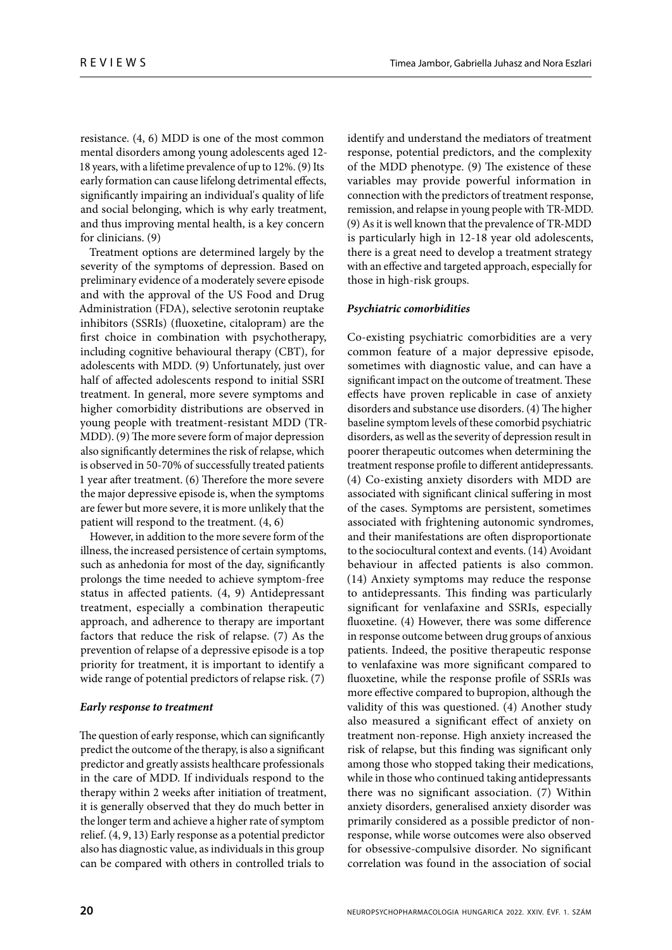resistance. (4, 6) MDD is one of the most common mental disorders among young adolescents aged 12- 18 years, with a lifetime prevalence of up to 12%. (9) Its early formation can cause lifelong detrimental effects, significantly impairing an individual's quality of life and social belonging, which is why early treatment, and thus improving mental health, is a key concern for clinicians. (9)

Treatment options are determined largely by the severity of the symptoms of depression. Based on preliminary evidence of a moderately severe episode and with the approval of the US Food and Drug Administration (FDA), selective serotonin reuptake inhibitors (SSRIs) (fluoxetine, citalopram) are the first choice in combination with psychotherapy, including cognitive behavioural therapy (CBT), for adolescents with MDD. (9) Unfortunately, just over half of affected adolescents respond to initial SSRI treatment. In general, more severe symptoms and higher comorbidity distributions are observed in young people with treatment-resistant MDD (TR-MDD). (9) The more severe form of major depression also significantly determines the risk of relapse, which is observed in 50-70% of successfully treated patients 1 year after treatment. (6) Therefore the more severe the major depressive episode is, when the symptoms are fewer but more severe, it is more unlikely that the patient will respond to the treatment. (4, 6)

However, in addition to the more severe form of the illness, the increased persistence of certain symptoms, such as anhedonia for most of the day, significantly prolongs the time needed to achieve symptom-free status in affected patients. (4, 9) Antidepressant treatment, especially a combination therapeutic approach, and adherence to therapy are important factors that reduce the risk of relapse. (7) As the prevention of relapse of a depressive episode is a top priority for treatment, it is important to identify a wide range of potential predictors of relapse risk. (7)

# **Early response to treatment**

The question of early response, which can significantly predict the outcome of the therapy, is also a significant predictor and greatly assists healthcare professionals in the care of MDD. If individuals respond to the therapy within 2 weeks after initiation of treatment, it is generally observed that they do much better in the longer term and achieve a higher rate of symptom relief. (4, 9, 13) Early response as a potential predictor also has diagnostic value, as individuals in this group can be compared with others in controlled trials to

identify and understand the mediators of treatment response, potential predictors, and the complexity of the MDD phenotype. (9) The existence of these variables may provide powerful information in connection with the predictors of treatment response, remission, and relapse in young people with TR-MDD. (9) As it is well known that the prevalence of TR-MDD is particularly high in 12-18 year old adolescents, there is a great need to develop a treatment strategy with an effective and targeted approach, especially for those in high-risk groups.

## **Psychiatric comorbidities**

Co-existing psychiatric comorbidities are a very common feature of a major depressive episode, sometimes with diagnostic value, and can have a significant impact on the outcome of treatment. These effects have proven replicable in case of anxiety disorders and substance use disorders. (4) The higher baseline symptom levels of these comorbid psychiatric disorders, as well as the severity of depression result in poorer therapeutic outcomes when determining the treatment response profile to different antidepressants. (4) Co-existing anxiety disorders with MDD are associated with significant clinical suffering in most of the cases. Symptoms are persistent, sometimes associated with frightening autonomic syndromes, and their manifestations are often disproportionate to the sociocultural context and events. (14) Avoidant behaviour in affected patients is also common. (14) Anxiety symptoms may reduce the response to antidepressants. This finding was particularly significant for venlafaxine and SSRIs, especially fluoxetine. (4) However, there was some difference in response outcome between drug groups of anxious patients. Indeed, the positive therapeutic response to venlafaxine was more significant compared to fluoxetine, while the response profile of SSRIs was more effective compared to bupropion, although the validity of this was questioned. (4) Another study also measured a significant effect of anxiety on treatment non-reponse. High anxiety increased the risk of relapse, but this finding was significant only among those who stopped taking their medications, while in those who continued taking antidepressants there was no significant association.  $(7)$  Within anxiety disorders, generalised anxiety disorder was primarily considered as a possible predictor of nonresponse, while worse outcomes were also observed for obsessive-compulsive disorder. No significant correlation was found in the association of social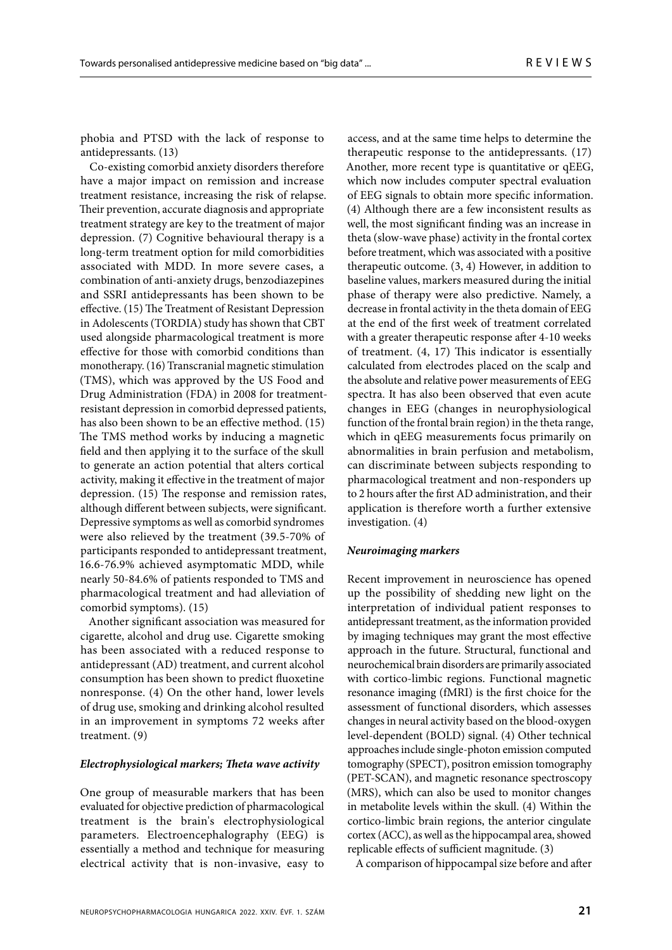phobia and PTSD with the lack of response to antidepressants. (13)

Co-existing comorbid anxiety disorders therefore have a major impact on remission and increase treatment resistance, increasing the risk of relapse. Their prevention, accurate diagnosis and appropriate treatment strategy are key to the treatment of major depression. (7) Cognitive behavioural therapy is a long-term treatment option for mild comorbidities associated with MDD. In more severe cases, a combination of anti-anxiety drugs, benzodiazepines and SSRI antidepressants has been shown to be effective. (15) The Treatment of Resistant Depression in Adolescents (TORDIA) study has shown that CBT used alongside pharmacological treatment is more effective for those with comorbid conditions than monotherapy. (16) Transcranial magnetic stimulation (TMS), which was approved by the US Food and Drug Administration (FDA) in 2008 for treatmentresistant depression in comorbid depressed patients, has also been shown to be an effective method. (15) The TMS method works by inducing a magnetic field and then applying it to the surface of the skull to generate an action potential that alters cortical activity, making it effective in the treatment of major depression. (15) The response and remission rates, although different between subjects, were significant. Depressive symptoms as well as comorbid syndromes were also relieved by the treatment (39.5-70% of participants responded to antidepressant treatment, 16.6-76.9% achieved asymptomatic MDD, while nearly 50-84.6% of patients responded to TMS and pharmacological treatment and had alleviation of comorbid symptoms). (15)

Another significant association was measured for cigarette, alcohol and drug use. Cigarette smoking has been associated with a reduced response to antidepressant (AD) treatment, and current alcohol consumption has been shown to predict fluoxetine nonresponse. (4) On the other hand, lower levels of drug use, smoking and drinking alcohol resulted in an improvement in symptoms 72 weeks after treatment. (9)

### **Electrophysiological markers; Theta wave activity**

One group of measurable markers that has been evaluated for objective prediction of pharmacological treatment is the brain's electrophysiological parameters. Electroencephalography (EEG) is essentially a method and technique for measuring electrical activity that is non-invasive, easy to

access, and at the same time helps to determine the therapeutic response to the antidepressants. (17) Another, more recent type is quantitative or qEEG, which now includes computer spectral evaluation of EEG signals to obtain more specific information. (4) Although there are a few inconsistent results as well, the most significant finding was an increase in theta (slow-wave phase) activity in the frontal cortex before treatment, which was associated with a positive therapeutic outcome. (3, 4) However, in addition to baseline values, markers measured during the initial phase of therapy were also predictive. Namely, a decrease in frontal activity in the theta domain of EEG at the end of the first week of treatment correlated with a greater therapeutic response after 4-10 weeks of treatment.  $(4, 17)$  This indicator is essentially calculated from electrodes placed on the scalp and the absolute and relative power measurements of EEG spectra. It has also been observed that even acute changes in EEG (changes in neurophysiological function of the frontal brain region) in the theta range, which in qEEG measurements focus primarily on abnormalities in brain perfusion and metabolism, can discriminate between subjects responding to pharmacological treatment and non-responders up to 2 hours after the first AD administration, and their application is therefore worth a further extensive investigation. (4)

## **Neuroimaging markers**

Recent improvement in neuroscience has opened up the possibility of shedding new light on the interpretation of individual patient responses to antidepressant treatment, as the information provided by imaging techniques may grant the most effective approach in the future. Structural, functional and neurochemical brain disorders are primarily associated with cortico-limbic regions. Functional magnetic resonance imaging (fMRI) is the first choice for the assessment of functional disorders, which assesses changes in neural activity based on the blood-oxygen level-dependent (BOLD) signal. (4) Other technical approaches include single-photon emission computed tomography (SPECT), positron emission tomography (PET-SCAN), and magnetic resonance spectroscopy (MRS), which can also be used to monitor changes in metabolite levels within the skull. (4) Within the cortico-limbic brain regions, the anterior cingulate cortex (ACC), as well as the hippocampal area, showed replicable effects of sufficient magnitude. (3)

A comparison of hippocampal size before and after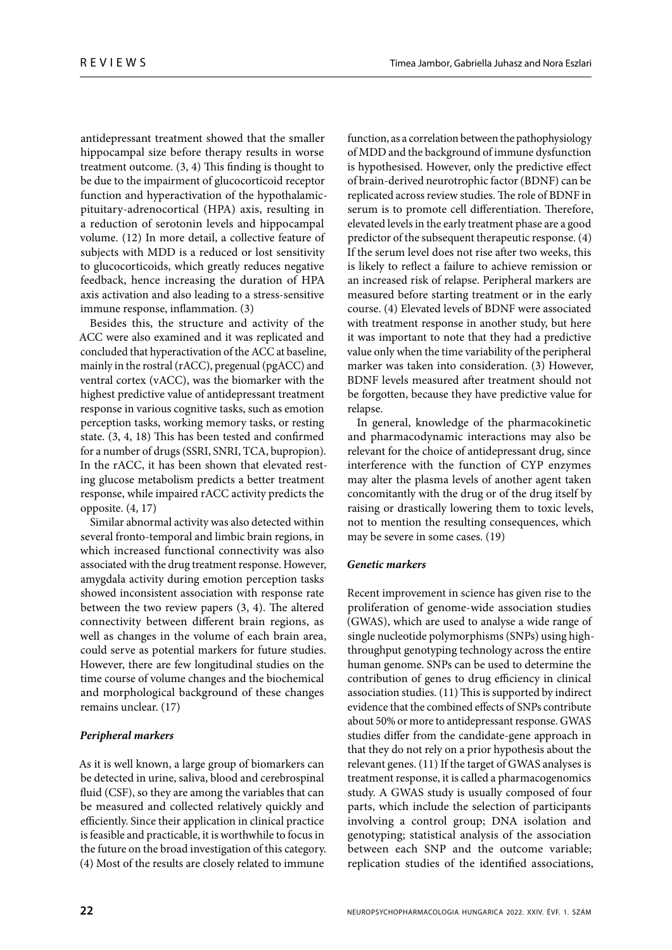antidepressant treatment showed that the smaller hippocampal size before therapy results in worse treatment outcome.  $(3, 4)$  This finding is thought to be due to the impairment of glucocorticoid receptor function and hyperactivation of the hypothalamicpituitary-adrenocortical (HPA) axis, resulting in a reduction of serotonin levels and hippocampal volume. (12) In more detail, a collective feature of subjects with MDD is a reduced or lost sensitivity to glucocorticoids, which greatly reduces negative feedback, hence increasing the duration of HPA axis activation and also leading to a stress-sensitive immune response, inflammation. (3)

Besides this, the structure and activity of the ACC were also examined and it was replicated and concluded that hyperactivation of the ACC at baseline, mainly in the rostral (rACC), pregenual (pgACC) and ventral cortex (vACC), was the biomarker with the highest predictive value of antidepressant treatment response in various cognitive tasks, such as emotion perception tasks, working memory tasks, or resting state.  $(3, 4, 18)$  This has been tested and confirmed for a number of drugs (SSRI, SNRI, TCA, bupropion). In the rACC, it has been shown that elevated resting glucose metabolism predicts a better treatment response, while impaired rACC activity predicts the opposite. (4, 17)

Similar abnormal activity was also detected within several fronto-temporal and limbic brain regions, in which increased functional connectivity was also associated with the drug treatment response. However, amygdala activity during emotion perception tasks showed inconsistent association with response rate between the two review papers  $(3, 4)$ . The altered connectivity between different brain regions, as well as changes in the volume of each brain area, could serve as potential markers for future studies. However, there are few longitudinal studies on the time course of volume changes and the biochemical and morphological background of these changes remains unclear. (17)

# **Peripheral markers**

As it is well known, a large group of biomarkers can be detected in urine, saliva, blood and cerebrospinal fluid (CSF), so they are among the variables that can be measured and collected relatively quickly and efficiently. Since their application in clinical practice is feasible and practicable, it is worthwhile to focus in the future on the broad investigation of this category. (4) Most of the results are closely related to immune

function, as a correlation between the pathophysiology of MDD and the background of immune dysfunction is hypothesised. However, only the predictive effect of brain-derived neurotrophic factor (BDNF) can be replicated across review studies. The role of BDNF in serum is to promote cell differentiation. Therefore, elevated levels in the early treatment phase are a good predictor of the subsequent therapeutic response. (4) If the serum level does not rise after two weeks, this is likely to reflect a failure to achieve remission or an increased risk of relapse. Peripheral markers are measured before starting treatment or in the early course. (4) Elevated levels of BDNF were associated with treatment response in another study, but here it was important to note that they had a predictive value only when the time variability of the peripheral marker was taken into consideration. (3) However, BDNF levels measured after treatment should not be forgotten, because they have predictive value for relapse.

In general, knowledge of the pharmacokinetic and pharmacodynamic interactions may also be relevant for the choice of antidepressant drug, since interference with the function of CYP enzymes may alter the plasma levels of another agent taken concomitantly with the drug or of the drug itself by raising or drastically lowering them to toxic levels, not to mention the resulting consequences, which may be severe in some cases. (19)

# **Genetic markers**

Recent improvement in science has given rise to the proliferation of genome-wide association studies (GWAS), which are used to analyse a wide range of single nucleotide polymorphisms (SNPs) using highthroughput genotyping technology across the entire human genome. SNPs can be used to determine the contribution of genes to drug efficiency in clinical association studies.  $(11)$  This is supported by indirect evidence that the combined effects of SNPs contribute about 50% or more to antidepressant response. GWAS studies differ from the candidate-gene approach in that they do not rely on a prior hypothesis about the relevant genes. (11) If the target of GWAS analyses is treatment response, it is called a pharmacogenomics study. A GWAS study is usually composed of four parts, which include the selection of participants involving a control group; DNA isolation and genotyping; statistical analysis of the association between each SNP and the outcome variable; replication studies of the identified associations,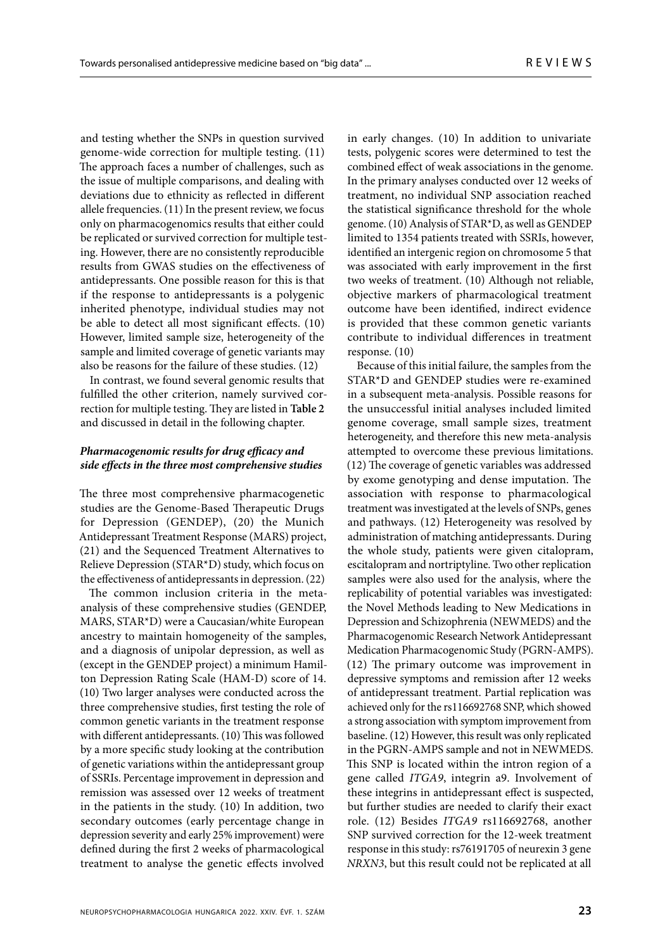and testing whether the SNPs in question survived genome-wide correction for multiple testing. (11) The approach faces a number of challenges, such as the issue of multiple comparisons, and dealing with deviations due to ethnicity as reflected in different allele frequencies. (11) In the present review, we focus only on pharmacogenomics results that either could be replicated or survived correction for multiple testing. However, there are no consistently reproducible results from GWAS studies on the effectiveness of antidepressants. One possible reason for this is that if the response to antidepressants is a polygenic inherited phenotype, individual studies may not be able to detect all most significant effects. (10) However, limited sample size, heterogeneity of the sample and limited coverage of genetic variants may also be reasons for the failure of these studies. (12)

In contrast, we found several genomic results that fulfilled the other criterion, namely survived correction for multiple testing. They are listed in Table 2 and discussed in detail in the following chapter.

# **Pharmacogenomic results for drug efficacy and side eff ects in the three most comprehensive studies**

The three most comprehensive pharmacogenetic studies are the Genome-Based Therapeutic Drugs for Depression (GENDEP), (20) the Munich Antidepressant Treatment Response (MARS) project, (21) and the Sequenced Treatment Alternatives to Relieve Depression (STAR\*D) study, which focus on the effectiveness of antidepressants in depression. (22)

The common inclusion criteria in the metaanalysis of these comprehensive studies (GENDEP, MARS, STAR\*D) were a Caucasian/white European ancestry to maintain homogeneity of the samples, and a diagnosis of unipolar depression, as well as (except in the GENDEP project) a minimum Hamilton Depression Rating Scale (HAM-D) score of 14. (10) Two larger analyses were conducted across the three comprehensive studies, first testing the role of common genetic variants in the treatment response with different antidepressants. (10) This was followed by a more specific study looking at the contribution of genetic variations within the antidepressant group of SSRIs. Percentage improvement in depression and remission was assessed over 12 weeks of treatment in the patients in the study. (10) In addition, two secondary outcomes (early percentage change in depression severity and early 25% improvement) were defined during the first 2 weeks of pharmacological treatment to analyse the genetic effects involved

in early changes. (10) In addition to univariate tests, polygenic scores were determined to test the combined effect of weak associations in the genome. In the primary analyses conducted over 12 weeks of treatment, no individual SNP association reached the statistical significance threshold for the whole genome. (10) Analysis of STAR\*D, as well as GENDEP limited to 1354 patients treated with SSRIs, however, identified an intergenic region on chromosome 5 that was associated with early improvement in the first two weeks of treatment. (10) Although not reliable, objective markers of pharmacological treatment outcome have been identified, indirect evidence is provided that these common genetic variants contribute to individual differences in treatment response. (10)

Because of this initial failure, the samples from the STAR\*D and GENDEP studies were re-examined in a subsequent meta-analysis. Possible reasons for the unsuccessful initial analyses included limited genome coverage, small sample sizes, treatment heterogeneity, and therefore this new meta-analysis attempted to overcome these previous limitations. (12) The coverage of genetic variables was addressed by exome genotyping and dense imputation. The association with response to pharmacological treatment was investigated at the levels of SNPs, genes and pathways. (12) Heterogeneity was resolved by administration of matching antidepressants. During the whole study, patients were given citalopram, escitalopram and nortriptyline. Two other replication samples were also used for the analysis, where the replicability of potential variables was investigated: the Novel Methods leading to New Medications in Depression and Schizophrenia (NEWMEDS) and the Pharmacogenomic Research Network Antidepressant Medication Pharmacogenomic Study (PGRN-AMPS).  $(12)$  The primary outcome was improvement in depressive symptoms and remission after 12 weeks of antidepressant treatment. Partial replication was achieved only for the rs116692768 SNP, which showed a strong association with symptom improvement from baseline. (12) However, this result was only replicated in the PGRN-AMPS sample and not in NEWMEDS. This SNP is located within the intron region of a gene called *ITGA9*, integrin a9. Involvement of these integrins in antidepressant effect is suspected, but further studies are needed to clarify their exact role. (12) Besides *ITGA9* rs116692768, another SNP survived correction for the 12-week treatment response in this study: rs76191705 of neurexin 3 gene *NRXN3*, but this result could not be replicated at all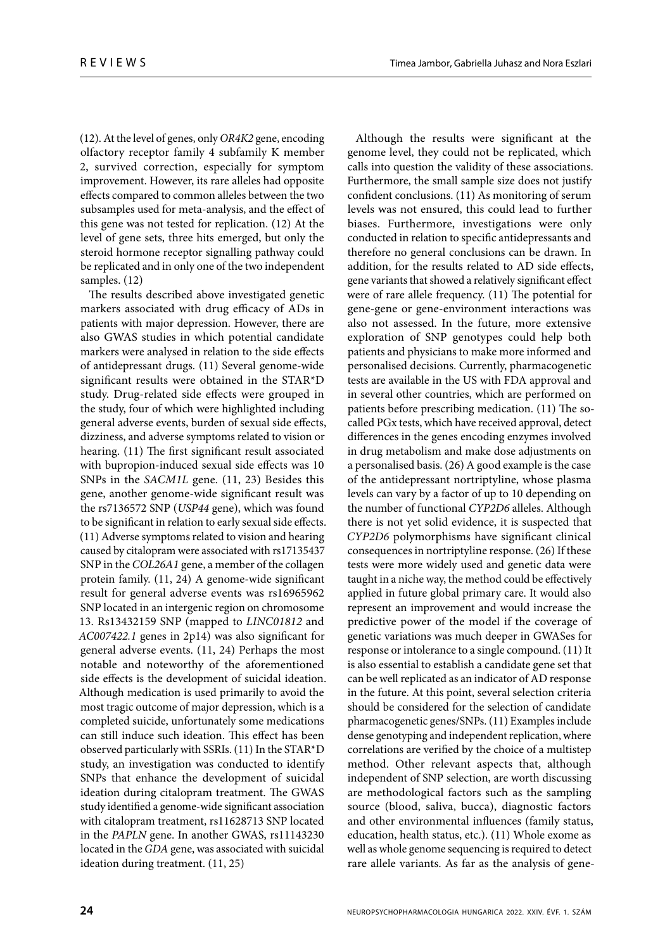(12). At the level of genes, only *OR4K2* gene, encoding olfactory receptor family 4 subfamily K member 2, survived correction, especially for symptom improvement. However, its rare alleles had opposite effects compared to common alleles between the two subsamples used for meta-analysis, and the effect of this gene was not tested for replication. (12) At the level of gene sets, three hits emerged, but only the steroid hormone receptor signalling pathway could be replicated and in only one of the two independent samples. (12)

The results described above investigated genetic markers associated with drug efficacy of ADs in patients with major depression. However, there are also GWAS studies in which potential candidate markers were analysed in relation to the side effects of antidepressant drugs. (11) Several genome-wide significant results were obtained in the STAR\*D study. Drug-related side effects were grouped in the study, four of which were highlighted including general adverse events, burden of sexual side effects, dizziness, and adverse symptoms related to vision or hearing. (11) The first significant result associated with bupropion-induced sexual side effects was 10 SNPs in the *SACM1L* gene. (11, 23) Besides this gene, another genome-wide significant result was the rs7136572 SNP (*USP44* gene), which was found to be significant in relation to early sexual side effects. (11) Adverse symptoms related to vision and hearing caused by citalopram were associated with rs17135437 SNP in the *COL26A1* gene, a member of the collagen protein family. (11, 24) A genome-wide significant result for general adverse events was rs16965962 SNP located in an intergenic region on chromosome 13. Rs13432159 SNP (mapped to *LINC01812* and *AC007422.1* genes in 2p14) was also significant for general adverse events. (11, 24) Perhaps the most notable and noteworthy of the aforementioned side effects is the development of suicidal ideation. Although medication is used primarily to avoid the most tragic outcome of major depression, which is a completed suicide, unfortunately some medications can still induce such ideation. This effect has been observed particularly with SSRIs. (11) In the STAR\*D study, an investigation was conducted to identify SNPs that enhance the development of suicidal ideation during citalopram treatment. The GWAS study identified a genome-wide significant association with citalopram treatment, rs11628713 SNP located in the *PAPLN* gene. In another GWAS, rs11143230 located in the *GDA* gene, was associated with suicidal ideation during treatment. (11, 25)

Although the results were significant at the genome level, they could not be replicated, which calls into question the validity of these associations. Furthermore, the small sample size does not justify confident conclusions.  $(11)$  As monitoring of serum levels was not ensured, this could lead to further biases. Furthermore, investigations were only conducted in relation to specific antidepressants and therefore no general conclusions can be drawn. In addition, for the results related to AD side effects, gene variants that showed a relatively significant effect were of rare allele frequency. (11) The potential for gene-gene or gene-environment interactions was also not assessed. In the future, more extensive exploration of SNP genotypes could help both patients and physicians to make more informed and personalised decisions. Currently, pharmacogenetic tests are available in the US with FDA approval and in several other countries, which are performed on patients before prescribing medication. (11) The socalled PGx tests, which have received approval, detect differences in the genes encoding enzymes involved in drug metabolism and make dose adjustments on a personalised basis. (26) A good example is the case of the antidepressant nortriptyline, whose plasma levels can vary by a factor of up to 10 depending on the number of functional *CYP2D6* alleles. Although there is not yet solid evidence, it is suspected that *CYP2D6* polymorphisms have significant clinical consequences in nortriptyline response. (26) If these tests were more widely used and genetic data were taught in a niche way, the method could be effectively applied in future global primary care. It would also represent an improvement and would increase the predictive power of the model if the coverage of genetic variations was much deeper in GWASes for response or intolerance to a single compound. (11) It is also essential to establish a candidate gene set that can be well replicated as an indicator of AD response in the future. At this point, several selection criteria should be considered for the selection of candidate pharmacogenetic genes/SNPs. (11) Examples include dense genotyping and independent replication, where correlations are verified by the choice of a multistep method. Other relevant aspects that, although independent of SNP selection, are worth discussing are methodological factors such as the sampling source (blood, saliva, bucca), diagnostic factors and other environmental influences (family status, education, health status, etc.). (11) Whole exome as well as whole genome sequencing is required to detect rare allele variants. As far as the analysis of gene-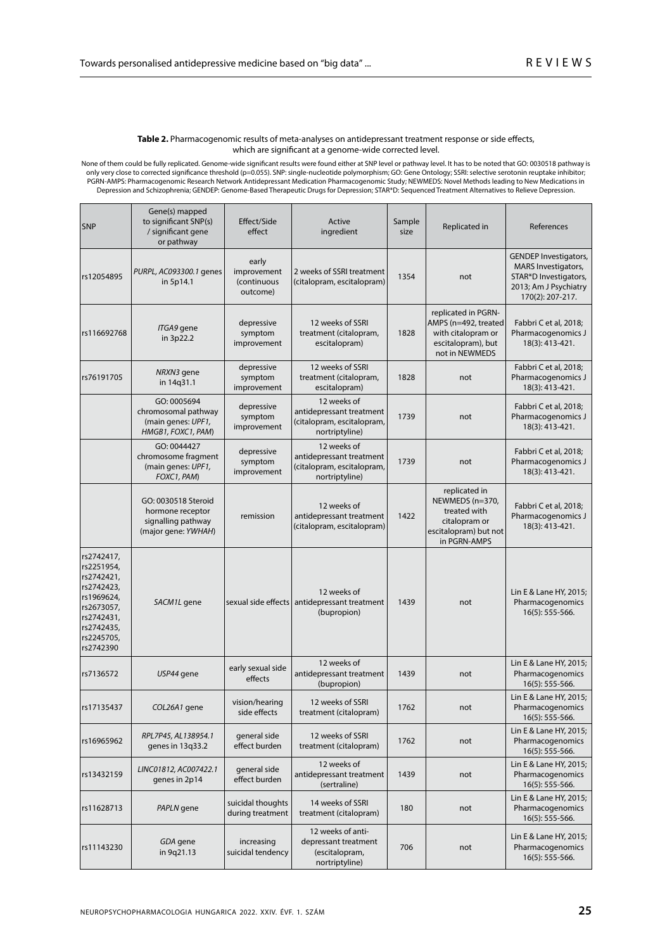#### Table 2. Pharmacogenomic results of meta-analyses on antidepressant treatment response or side effects, which are significant at a genome-wide corrected level.

None of them could be fully replicated. Genome-wide significant results were found either at SNP level or pathway level. It has to be noted that GO: 0030518 pathway is<br>only very close to corrected significance threshold (p Depression and Schizophrenia; GENDEP: Genome-Based Therapeutic Drugs for Depression; STAR\*D: Sequenced Treatment Alternatives to Relieve Depression.

| <b>SNP</b>                                                                                                                              | Gene(s) mapped<br>to significant SNP(s)<br>/ significant gene<br>or pathway          | Effect/Side<br>effect                           | Active<br>ingredient                                                                    | Sample<br>size | Replicated in                                                                                              | References                                                                                                                       |
|-----------------------------------------------------------------------------------------------------------------------------------------|--------------------------------------------------------------------------------------|-------------------------------------------------|-----------------------------------------------------------------------------------------|----------------|------------------------------------------------------------------------------------------------------------|----------------------------------------------------------------------------------------------------------------------------------|
| rs12054895                                                                                                                              | PURPL, AC093300.1 genes<br>in 5p14.1                                                 | early<br>improvement<br>(continuous<br>outcome) | 2 weeks of SSRI treatment<br>(citalopram, escitalopram)                                 | 1354           | not                                                                                                        | <b>GENDEP Investigators,</b><br><b>MARS</b> Investigators,<br>STAR*D Investigators,<br>2013; Am J Psychiatry<br>170(2): 207-217. |
| rs116692768                                                                                                                             | ITGA9 gene<br>in 3p22.2                                                              | depressive<br>symptom<br>improvement            | 12 weeks of SSRI<br>treatment (citalopram,<br>escitalopram)                             | 1828           | replicated in PGRN-<br>AMPS (n=492, treated<br>with citalopram or<br>escitalopram), but<br>not in NEWMEDS  | Fabbri C et al, 2018;<br>Pharmacogenomics J<br>18(3): 413-421.                                                                   |
| rs76191705                                                                                                                              | NRXN3 gene<br>in 14q31.1                                                             | depressive<br>symptom<br>improvement            | 12 weeks of SSRI<br>treatment (citalopram,<br>escitalopram)                             | 1828           | not                                                                                                        | Fabbri C et al, 2018;<br>Pharmacogenomics J<br>18(3): 413-421.                                                                   |
|                                                                                                                                         | GO: 0005694<br>chromosomal pathway<br>(main genes: UPF1,<br>HMGB1, FOXC1, PAM)       | depressive<br>symptom<br>improvement            | 12 weeks of<br>antidepressant treatment<br>(citalopram, escitalopram,<br>nortriptyline) | 1739           | not                                                                                                        | Fabbri C et al, 2018;<br>Pharmacogenomics J<br>18(3): 413-421.                                                                   |
|                                                                                                                                         | GO: 0044427<br>chromosome fragment<br>(main genes: UPF1,<br>FOXC1, PAM)              | depressive<br>symptom<br>improvement            | 12 weeks of<br>antidepressant treatment<br>(citalopram, escitalopram,<br>nortriptyline) | 1739           | not                                                                                                        | Fabbri C et al, 2018;<br>Pharmacogenomics J<br>18(3): 413-421.                                                                   |
|                                                                                                                                         | GO: 0030518 Steroid<br>hormone receptor<br>signalling pathway<br>(major gene: YWHAH) | remission                                       | 12 weeks of<br>antidepressant treatment<br>(citalopram, escitalopram)                   | 1422           | replicated in<br>NEWMEDS (n=370,<br>treated with<br>citalopram or<br>escitalopram) but not<br>in PGRN-AMPS | Fabbri C et al, 2018;<br>Pharmacogenomics J<br>18(3): 413-421.                                                                   |
| rs2742417,<br>rs2251954,<br>rs2742421,<br>rs2742423,<br>rs1969624,<br>rs2673057,<br>rs2742431,<br>rs2742435,<br>rs2245705,<br>rs2742390 | SACM1L gene                                                                          |                                                 | 12 weeks of<br>sexual side effects antidepressant treatment<br>(bupropion)              | 1439           | not                                                                                                        | Lin E & Lane HY, 2015;<br>Pharmacogenomics<br>16(5): 555-566.                                                                    |
| rs7136572                                                                                                                               | USP44 gene                                                                           | early sexual side<br>effects                    | 12 weeks of<br>antidepressant treatment<br>(bupropion)                                  | 1439           | not                                                                                                        | Lin E & Lane HY, 2015;<br>Pharmacogenomics<br>16(5): 555-566.                                                                    |
| rs17135437                                                                                                                              | COL26A1 gene                                                                         | vision/hearing<br>side effects                  | 12 weeks of SSRI<br>treatment (citalopram)                                              | 1762           | not                                                                                                        | Lin E & Lane HY, 2015;<br>Pharmacogenomics<br>16(5): 555-566.                                                                    |
| rs16965962                                                                                                                              | RPL7P45, AL138954.1<br>genes in 13q33.2                                              | general side<br>effect burden                   | 12 weeks of SSRI<br>treatment (citalopram)                                              | 1762           | not                                                                                                        | Lin E & Lane HY, 2015;<br>Pharmacogenomics<br>16(5): 555-566.                                                                    |
| rs13432159                                                                                                                              | LINC01812, AC007422.1<br>genes in 2p14                                               | general side<br>effect burden                   | 12 weeks of<br>antidepressant treatment<br>(sertraline)                                 | 1439           | not                                                                                                        | Lin E & Lane HY, 2015;<br>Pharmacogenomics<br>$16(5): 555-566.$                                                                  |
| rs11628713                                                                                                                              | PAPLN gene                                                                           | suicidal thoughts<br>during treatment           | 14 weeks of SSRI<br>treatment (citalopram)                                              | 180            | not                                                                                                        | Lin E & Lane HY, 2015;<br>Pharmacogenomics<br>16(5): 555-566.                                                                    |
| rs11143230                                                                                                                              | GDA gene<br>in 9q21.13                                                               | increasing<br>suicidal tendency                 | 12 weeks of anti-<br>depressant treatment<br>(escitalopram,<br>nortriptyline)           | 706            | not                                                                                                        | Lin E & Lane HY, 2015;<br>Pharmacogenomics<br>16(5): 555-566.                                                                    |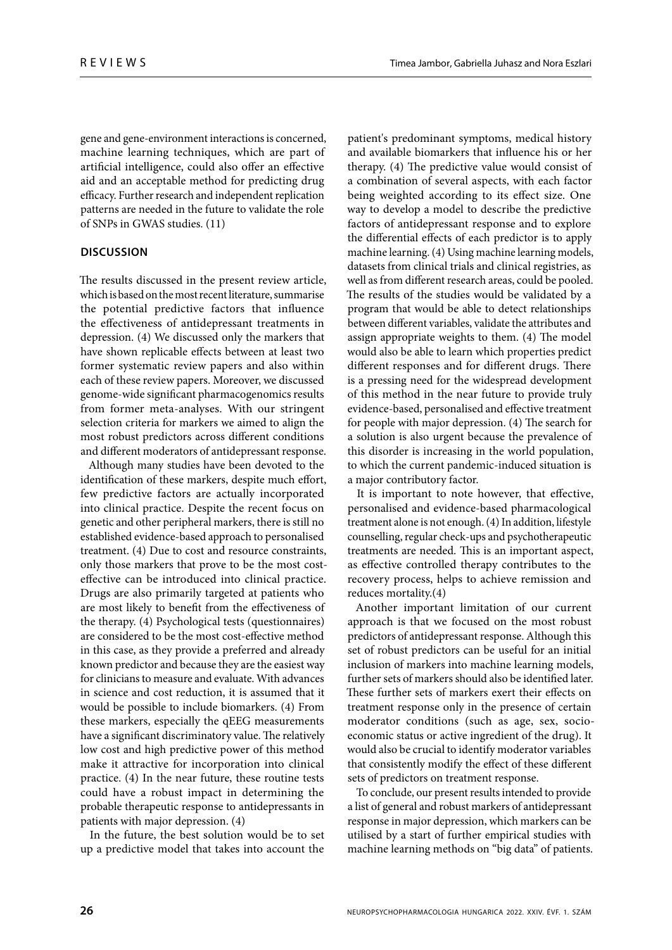gene and gene-environment interactions is concerned, machine learning techniques, which are part of artificial intelligence, could also offer an effective aid and an acceptable method for predicting drug efficacy. Further research and independent replication patterns are needed in the future to validate the role of SNPs in GWAS studies. (11)

# **DISCUSSION**

The results discussed in the present review article, which is based on the most recent literature, summarise the potential predictive factors that influence the effectiveness of antidepressant treatments in depression. (4) We discussed only the markers that have shown replicable effects between at least two former systematic review papers and also within each of these review papers. Moreover, we discussed genome-wide significant pharmacogenomics results from former meta-analyses. With our stringent selection criteria for markers we aimed to align the most robust predictors across different conditions and different moderators of antidepressant response.

Although many studies have been devoted to the identification of these markers, despite much effort, few predictive factors are actually incorporated into clinical practice. Despite the recent focus on genetic and other peripheral markers, there is still no established evidence-based approach to personalised treatment. (4) Due to cost and resource constraints, only those markers that prove to be the most costeffective can be introduced into clinical practice. Drugs are also primarily targeted at patients who are most likely to benefit from the effectiveness of the therapy. (4) Psychological tests (questionnaires) are considered to be the most cost-effective method in this case, as they provide a preferred and already known predictor and because they are the easiest way for clinicians to measure and evaluate. With advances in science and cost reduction, it is assumed that it would be possible to include biomarkers. (4) From these markers, especially the qEEG measurements have a significant discriminatory value. The relatively low cost and high predictive power of this method make it attractive for incorporation into clinical practice. (4) In the near future, these routine tests could have a robust impact in determining the probable therapeutic response to antidepressants in patients with major depression. (4)

In the future, the best solution would be to set up a predictive model that takes into account the

patient's predominant symptoms, medical history and available biomarkers that influence his or her therapy. (4) The predictive value would consist of a combination of several aspects, with each factor being weighted according to its effect size. One way to develop a model to describe the predictive factors of antidepressant response and to explore the differential effects of each predictor is to apply machine learning. (4) Using machine learning models, datasets from clinical trials and clinical registries, as well as from different research areas, could be pooled. The results of the studies would be validated by a program that would be able to detect relationships between different variables, validate the attributes and assign appropriate weights to them.  $(4)$  The model would also be able to learn which properties predict different responses and for different drugs. There is a pressing need for the widespread development of this method in the near future to provide truly evidence-based, personalised and effective treatment for people with major depression. (4) The search for a solution is also urgent because the prevalence of this disorder is increasing in the world population, to which the current pandemic-induced situation is a major contributory factor.

It is important to note however, that effective, personalised and evidence-based pharmacological treatment alone is not enough. (4) In addition, lifestyle counselling, regular check-ups and psychotherapeutic treatments are needed. This is an important aspect, as effective controlled therapy contributes to the recovery process, helps to achieve remission and reduces mortality.(4)

Another important limitation of our current approach is that we focused on the most robust predictors of antidepressant response. Although this set of robust predictors can be useful for an initial inclusion of markers into machine learning models, further sets of markers should also be identified later. These further sets of markers exert their effects on treatment response only in the presence of certain moderator conditions (such as age, sex, socioeconomic status or active ingredient of the drug). It would also be crucial to identify moderator variables that consistently modify the effect of these different sets of predictors on treatment response.

To conclude, our present results intended to provide a list of general and robust markers of antidepressant response in major depression, which markers can be utilised by a start of further empirical studies with machine learning methods on "big data" of patients.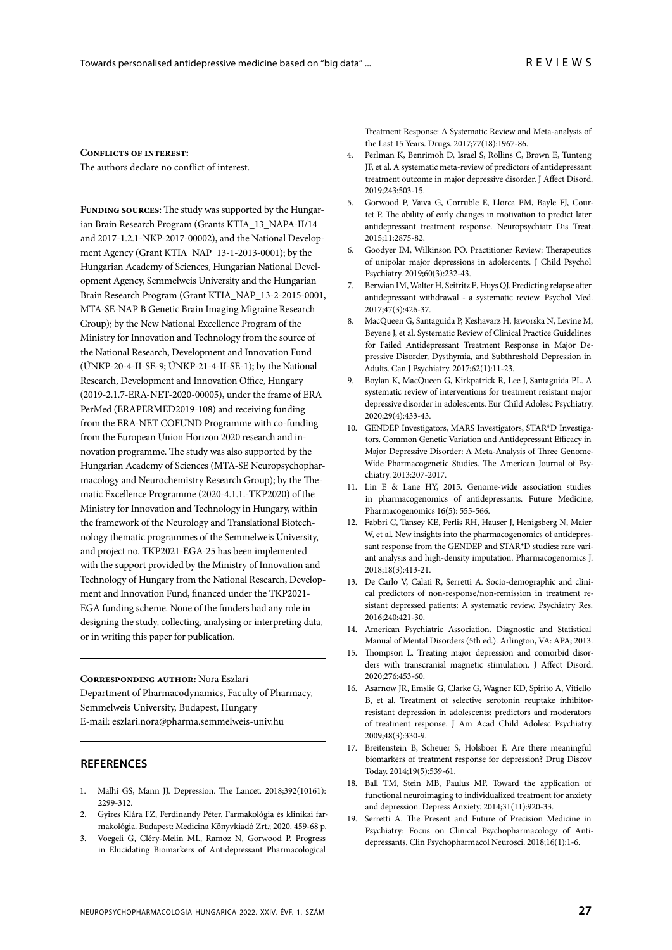#### **Conflicts of interest:**

The authors declare no conflict of interest.

FUNDING SOURCES: The study was supported by the Hungarian Brain Research Program (Grants KTIA\_13\_NAPA-II/14 and 2017-1.2.1-NKP-2017-00002), and the National Development Agency (Grant KTIA\_NAP\_13-1-2013-0001); by the Hungarian Academy of Sciences, Hungarian National Development Agency, Semmelweis University and the Hungarian Brain Research Program (Grant KTIA\_NAP\_13-2-2015-0001, MTA-SE-NAP B Genetic Brain Imaging Migraine Research Group); by the New National Excellence Program of the Ministry for Innovation and Technology from the source of the National Research, Development and Innovation Fund (ÚNKP-20-4-II-SE-9; ÚNKP-21-4-II-SE-1); by the National Research, Development and Innovation Office, Hungary (2019-2.1.7-ERA-NET-2020-00005), under the frame of ERA PerMed (ERAPERMED2019-108) and receiving funding from the ERA-NET COFUND Programme with co-funding from the European Union Horizon 2020 research and innovation programme. The study was also supported by the Hungarian Academy of Sciences (MTA-SE Neuropsychopharmacology and Neurochemistry Research Group); by the Thematic Excellence Programme (2020-4.1.1.-TKP2020) of the Ministry for Innovation and Technology in Hungary, within the framework of the Neurology and Translational Biotechnology thematic programmes of the Semmelweis University, and project no. TKP2021-EGA-25 has been implemented with the support provided by the Ministry of Innovation and Technology of Hungary from the National Research, Development and Innovation Fund, financed under the TKP2021-EGA funding scheme. None of the funders had any role in designing the study, collecting, analysing or interpreting data, or in writing this paper for publication.

#### **Corresponding author:** Nora Eszlari

Department of Pharmacodynamics, Faculty of Pharmacy, Semmelweis University, Budapest, Hungary E-mail: eszlari.nora@pharma.semmelweis-univ.hu

## **REFERENCES**

- 1. Malhi GS, Mann JJ. Depression. The Lancet. 2018;392(10161): 2299-312.
- 2. Gyires Klára FZ, Ferdinandy Péter. Farmakológia és klinikai farmakológia. Budapest: Medicina Könyvkiadó Zrt.; 2020. 459-68 p.
- 3. Voegeli G, Cléry-Melin ML, Ramoz N, Gorwood P. Progress in Elucidating Biomarkers of Antidepressant Pharmacological

Treatment Response: A Systematic Review and Meta-analysis of the Last 15 Years. Drugs. 2017;77(18):1967-86.

- 4. Perlman K, Benrimoh D, Israel S, Rollins C, Brown E, Tunteng JF, et al. A systematic meta-review of predictors of antidepressant treatment outcome in major depressive disorder. J Affect Disord. 2019;243:503-15.
- 5. Gorwood P, Vaiva G, Corruble E, Llorca PM, Bayle FJ, Courtet P. The ability of early changes in motivation to predict later antidepressant treatment response. Neuropsychiatr Dis Treat. 2015;11:2875-82.
- 6. Goodyer IM, Wilkinson PO. Practitioner Review: Therapeutics of unipolar major depressions in adolescents. J Child Psychol Psychiatry. 2019;60(3):232-43.
- 7. Berwian IM, Walter H, Seifritz E, Huys QJ. Predicting relapse after antidepressant withdrawal - a systematic review. Psychol Med. 2017;47(3):426-37.
- 8. MacQueen G, Santaguida P, Keshavarz H, Jaworska N, Levine M, Beyene J, et al. Systematic Review of Clinical Practice Guidelines for Failed Antidepressant Treatment Response in Major Depressive Disorder, Dysthymia, and Subthreshold Depression in Adults. Can J Psychiatry. 2017;62(1):11-23.
- 9. Boylan K, MacQueen G, Kirkpatrick R, Lee J, Santaguida PL. A systematic review of interventions for treatment resistant major depressive disorder in adolescents. Eur Child Adolesc Psychiatry. 2020;29(4):433-43.
- 10. GENDEP Investigators, MARS Investigators, STAR\*D Investigators. Common Genetic Variation and Antidepressant Efficacy in Major Depressive Disorder: A Meta-Analysis of Three Genome-Wide Pharmacogenetic Studies. The American Journal of Psychiatry. 2013:207-2017.
- 11. Lin E & Lane HY, 2015. Genome-wide association studies in pharmacogenomics of antidepressants. Future Medicine, Pharmacogenomics 16(5): 555-566.
- 12. Fabbri C, Tansey KE, Perlis RH, Hauser J, Henigsberg N, Maier W, et al. New insights into the pharmacogenomics of antidepressant response from the GENDEP and STAR\*D studies: rare variant analysis and high-density imputation. Pharmacogenomics J. 2018;18(3):413-21.
- 13. De Carlo V, Calati R, Serretti A. Socio-demographic and clinical predictors of non-response/non-remission in treatment resistant depressed patients: A systematic review. Psychiatry Res. 2016;240:421-30.
- 14. American Psychiatric Association. Diagnostic and Statistical Manual of Mental Disorders (5th ed.). Arlington, VA: APA; 2013.
- 15. Thompson L. Treating major depression and comorbid disorders with transcranial magnetic stimulation. J Affect Disord. 2020;276:453-60.
- 16. Asarnow JR, Emslie G, Clarke G, Wagner KD, Spirito A, Vitiello B, et al. Treatment of selective serotonin reuptake inhibitorresistant depression in adolescents: predictors and moderators of treatment response. J Am Acad Child Adolesc Psychiatry. 2009;48(3):330-9.
- 17. Breitenstein B, Scheuer S, Holsboer F. Are there meaningful biomarkers of treatment response for depression? Drug Discov Today. 2014;19(5):539-61.
- 18. Ball TM, Stein MB, Paulus MP. Toward the application of functional neuroimaging to individualized treatment for anxiety and depression. Depress Anxiety. 2014;31(11):920-33.
- 19. Serretti A. The Present and Future of Precision Medicine in Psychiatry: Focus on Clinical Psychopharmacology of Antidepressants. Clin Psychopharmacol Neurosci. 2018;16(1):1-6.